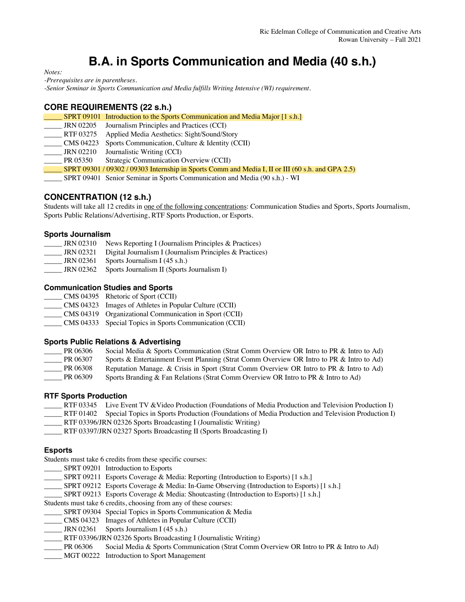# **B.A. in Sports Communication and Media (40 s.h.)**

*Notes:* 

*-Prerequisites are in parentheses.*

*-Senior Seminar in Sports Communication and Media fulfills Writing Intensive (WI) requirement.*

## **CORE REQUIREMENTS (22 s.h.)**

|           | SPRT 09101 Introduction to the Sports Communication and Media Major [1 s.h.]                      |
|-----------|---------------------------------------------------------------------------------------------------|
| JRN 02205 | Journalism Principles and Practices (CCI)                                                         |
| RTF 03275 | Applied Media Aesthetics: Sight/Sound/Story                                                       |
| CMS 04223 | Sports Communication, Culture & Identity (CCII)                                                   |
| JRN 02210 | Journalistic Writing (CCI)                                                                        |
| PR 05350  | Strategic Communication Overview (CCII)                                                           |
|           | SPRT 09301 / 09302 / 09303 Internship in Sports Comm and Media I, II or III (60 s.h. and GPA 2.5) |
|           | SPRT 09401 Senior Seminar in Sports Communication and Media (90 s.h.) - WI                        |

## **CONCENTRATION (12 s.h.)**

Students will take all 12 credits in one of the following concentrations: Communication Studies and Sports, Sports Journalism, Sports Public Relations/Advertising, RTF Sports Production, or Esports.

#### **Sports Journalism**

| <b>JRN 02310</b> | News Reporting I (Journalism Principles & Practices)       |
|------------------|------------------------------------------------------------|
| <b>JRN 02321</b> | Digital Journalism I (Journalism Principles $&$ Practices) |
| JRN 02361        | Sports Journalism I (45 s.h.)                              |
| JRN 02362        | Sports Journalism II (Sports Journalism I)                 |

#### **Communication Studies and Sports**

\_\_\_\_\_ CMS 04395 Rhetoric of Sport (CCII)

\_\_\_\_\_ CMS 04323 Images of Athletes in Popular Culture (CCII)

- \_\_\_\_\_ CMS 04319 Organizational Communication in Sport (CCII)
- \_\_\_\_\_ CMS 04333 Special Topics in Sports Communication (CCII)

#### **Sports Public Relations & Advertising**

| PR 06306 | Social Media & Sports Communication (Strat Comm Overview OR Intro to PR & Intro to Ad)   |
|----------|------------------------------------------------------------------------------------------|
| PR 06307 | Sports & Entertainment Event Planning (Strat Comm Overview OR Intro to PR & Intro to Ad) |
| PR 06308 | Reputation Manage. & Crisis in Sport (Strat Comm Overview OR Intro to PR & Intro to Ad)  |
| PR 06309 | Sports Branding & Fan Relations (Strat Comm Overview OR Intro to PR & Intro to Ad)       |

#### **RTF Sports Production**

- RTF 03345 Live Event TV & Video Production (Foundations of Media Production and Television Production I)
- \_\_\_\_\_ RTF 01402 Special Topics in Sports Production (Foundations of Media Production and Television Production I)
- \_\_\_\_\_ RTF 03396/JRN 02326 Sports Broadcasting I (Journalistic Writing)
- \_\_\_\_\_ RTF 03397/JRN 02327 Sports Broadcasting II (Sports Broadcasting I)

### **Esports**

Students must take 6 credits from these specific courses:

- SPRT 09201 Introduction to Esports
- \_SPRT 09211 Esports Coverage & Media: Reporting (Introduction to Esports) [1 s.h.]
- SPRT 09212 Esports Coverage & Media: In-Game Observing (Introduction to Esports) [1 s.h.]
- SPRT 09213 Esports Coverage & Media: Shoutcasting (Introduction to Esports) [1 s.h.]

Students must take 6 credits, choosing from any of these courses:

- SPRT 09304 Special Topics in Sports Communication & Media
- \_\_\_\_\_ CMS 04323 Images of Athletes in Popular Culture (CCII)
- $\text{JRN }02361$  Sports Journalism I (45 s.h.)
- RTF 03396/JRN 02326 Sports Broadcasting I (Journalistic Writing)
- \_\_\_\_\_ PR 06306 Social Media & Sports Communication (Strat Comm Overview OR Intro to PR & Intro to Ad)
- \_\_\_\_\_ MGT 00222 Introduction to Sport Management